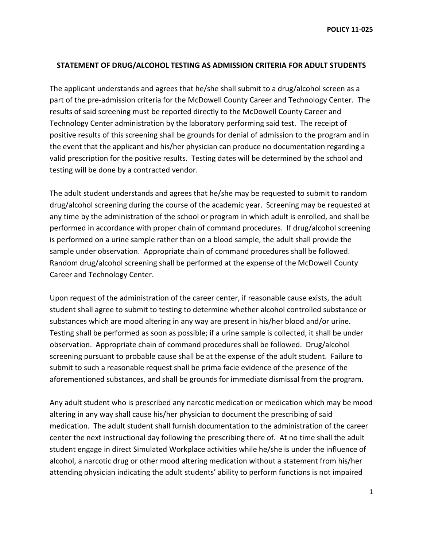**POLICY 11-025**

## **STATEMENT OF DRUG/ALCOHOL TESTING AS ADMISSION CRITERIA FOR ADULT STUDENTS**

The applicant understands and agrees that he/she shall submit to a drug/alcohol screen as a part of the pre-admission criteria for the McDowell County Career and Technology Center. The results of said screening must be reported directly to the McDowell County Career and Technology Center administration by the laboratory performing said test. The receipt of positive results of this screening shall be grounds for denial of admission to the program and in the event that the applicant and his/her physician can produce no documentation regarding a valid prescription for the positive results. Testing dates will be determined by the school and testing will be done by a contracted vendor.

The adult student understands and agrees that he/she may be requested to submit to random drug/alcohol screening during the course of the academic year. Screening may be requested at any time by the administration of the school or program in which adult is enrolled, and shall be performed in accordance with proper chain of command procedures. If drug/alcohol screening is performed on a urine sample rather than on a blood sample, the adult shall provide the sample under observation. Appropriate chain of command procedures shall be followed. Random drug/alcohol screening shall be performed at the expense of the McDowell County Career and Technology Center.

Upon request of the administration of the career center, if reasonable cause exists, the adult student shall agree to submit to testing to determine whether alcohol controlled substance or substances which are mood altering in any way are present in his/her blood and/or urine. Testing shall be performed as soon as possible; if a urine sample is collected, it shall be under observation. Appropriate chain of command procedures shall be followed. Drug/alcohol screening pursuant to probable cause shall be at the expense of the adult student. Failure to submit to such a reasonable request shall be prima facie evidence of the presence of the aforementioned substances, and shall be grounds for immediate dismissal from the program.

Any adult student who is prescribed any narcotic medication or medication which may be mood altering in any way shall cause his/her physician to document the prescribing of said medication. The adult student shall furnish documentation to the administration of the career center the next instructional day following the prescribing there of. At no time shall the adult student engage in direct Simulated Workplace activities while he/she is under the influence of alcohol, a narcotic drug or other mood altering medication without a statement from his/her attending physician indicating the adult students' ability to perform functions is not impaired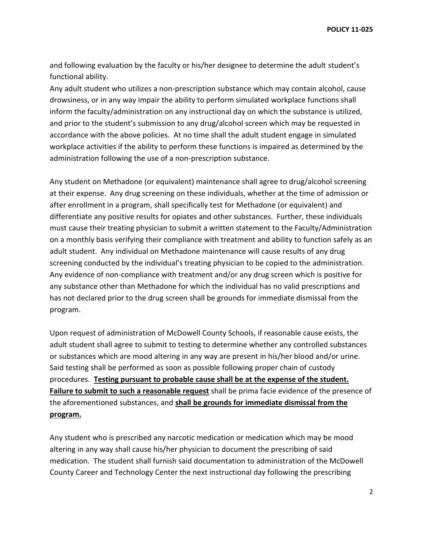**POLICY 11-025**

and following evaluation by the faculty or his/her designee to determine the adult student's functional ability.

Any adult student who utilizes a non-prescription substance which may contain alcohol, cause drowsiness, or in any way impair the ability to perform simulated workplace functions shall inform the faculty/administration on any instructional day on which the substance is utilized, and prior to the student's submission to any drug/alcohol screen which may be requested in accordance with the above policies. At no time shall the adult student engage in simulated workplace activities if the ability to perform these functions is impaired as determined by the administration following the use of a non-prescription substance.

Any student on Methadone (or equivalent) maintenance shall agree to drug/alcohol screening at their expense. Any drug screening on these individuals, whether at the time of admission or after enrollment in a program, shall specifically test for Methadone (or equivalent) and differentiate any positive results for opiates and other substances. Further, these individuals must cause their treating physician to submit a written statement to the Faculty/Administration on a monthly basis verifying their compliance with treatment and ability to function safely as an adult student. Any individual on Methadone maintenance will cause results of any drug screening conducted by the individual's treating physician to be copied to the administration. Any evidence of non-compliance with treatment and/or any drug screen which is positive for any substance other than Methadone for which the individual has no valid prescriptions and has not declared prior to the drug screen shall be grounds for immediate dismissal from the program.

Upon request of administration of McDowell County Schools, if reasonable cause exists, the adult student shall agree to submit to testing to determine whether any controlled substances or substances which are mood altering in any way are present in his/her blood and/or urine. Said testing shall be performed as soon as possible following proper chain of custody procedures. **Testing pursuant to probable cause shall be at the expense of the student. Failure to submit to such a reasonable request** shall be prima facie evidence of the presence of the aforementioned substances, and **shall be grounds for immediate dismissal from the program.**

Any student who is prescribed any narcotic medication or medication which may be mood altering in any way shall cause his/her physician to document the prescribing of said medication. The student shall furnish said documentation to administration of the McDowell County Career and Technology Center the next instructional day following the prescribing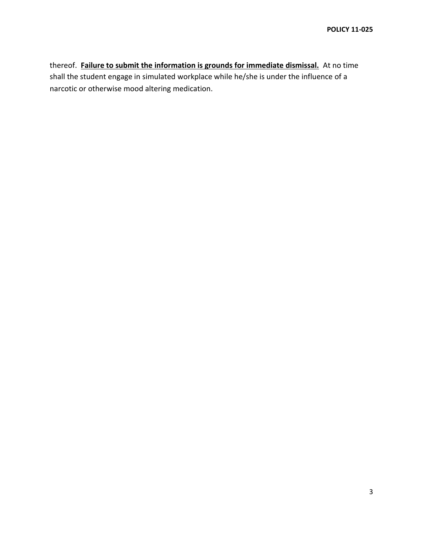thereof. **Failure to submit the information is grounds for immediate dismissal.** At no time shall the student engage in simulated workplace while he/she is under the influence of a narcotic or otherwise mood altering medication.